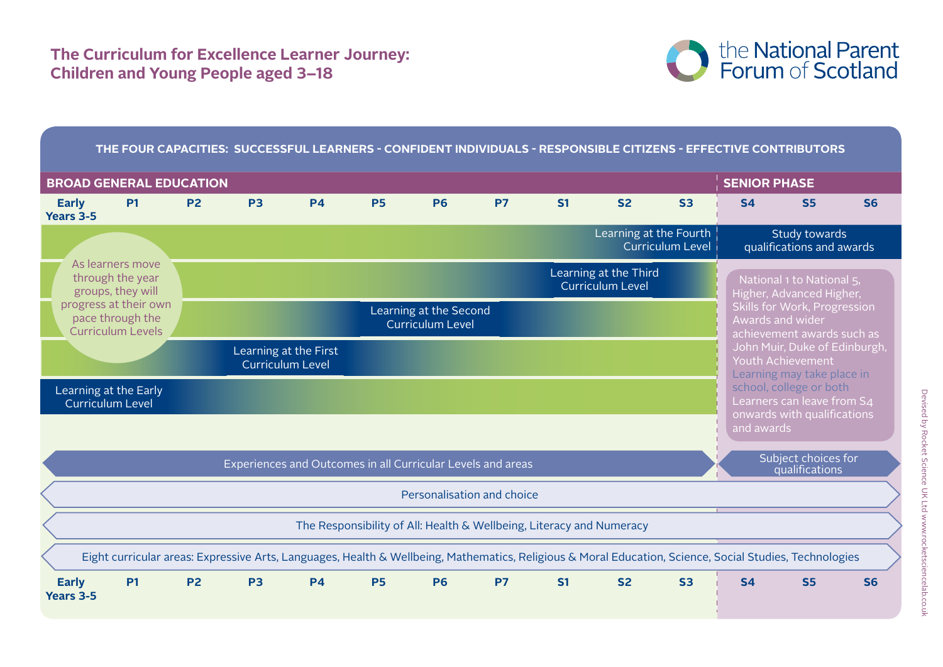# **The Curriculum for Excellence Learner Journey: Children and Young People aged 3–18**



## **The Four Capacities: Successful Learners - Confident Individuals - Responsible Citizens - Effective Contributors**